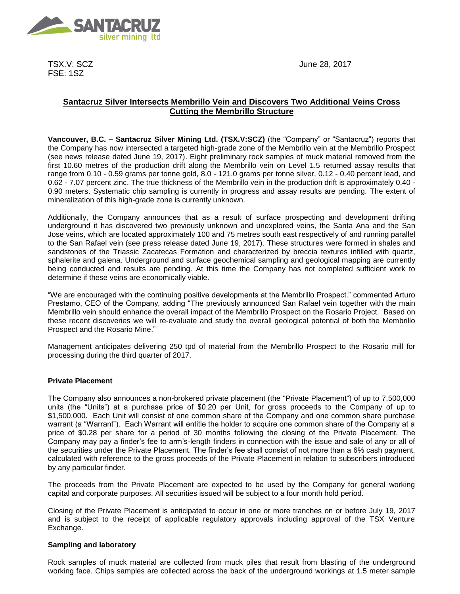

TSX.V: SCZ FSE: 1SZ

June 28, 2017

# **Santacruz Silver Intersects Membrillo Vein and Discovers Two Additional Veins Cross Cutting the Membrillo Structure**

**Vancouver, B.C. – Santacruz Silver Mining Ltd. (TSX.V:SCZ)** (the "Company" or "Santacruz") reports that the Company has now intersected a targeted high-grade zone of the Membrillo vein at the Membrillo Prospect (see news release dated June 19, 2017). Eight preliminary rock samples of muck material removed from the first 10.60 metres of the production drift along the Membrillo vein on Level 1.5 returned assay results that range from 0.10 - 0.59 grams per tonne gold, 8.0 - 121.0 grams per tonne silver, 0.12 - 0.40 percent lead, and 0.62 - 7.07 percent zinc. The true thickness of the Membrillo vein in the production drift is approximately 0.40 - 0.90 meters. Systematic chip sampling is currently in progress and assay results are pending. The extent of mineralization of this high-grade zone is currently unknown.

Additionally, the Company announces that as a result of surface prospecting and development drifting underground it has discovered two previously unknown and unexplored veins, the Santa Ana and the San Jose veins, which are located approximately 100 and 75 metres south east respectively of and running parallel to the San Rafael vein (see press release dated June 19, 2017). These structures were formed in shales and sandstones of the Triassic Zacatecas Formation and characterized by breccia textures infilled with quartz, sphalerite and galena. Underground and surface geochemical sampling and geological mapping are currently being conducted and results are pending. At this time the Company has not completed sufficient work to determine if these veins are economically viable.

"We are encouraged with the continuing positive developments at the Membrillo Prospect." commented Arturo Prestamo, CEO of the Company, adding "The previously announced San Rafael vein together with the main Membrillo vein should enhance the overall impact of the Membrillo Prospect on the Rosario Project. Based on these recent discoveries we will re-evaluate and study the overall geological potential of both the Membrillo Prospect and the Rosario Mine."

Management anticipates delivering 250 tpd of material from the Membrillo Prospect to the Rosario mill for processing during the third quarter of 2017.

## **Private Placement**

The Company also announces a non-brokered private placement (the "Private Placement") of up to 7,500,000 units (the "Units") at a purchase price of \$0.20 per Unit, for gross proceeds to the Company of up to \$1,500,000. Each Unit will consist of one common share of the Company and one common share purchase warrant (a "Warrant"). Each Warrant will entitle the holder to acquire one common share of the Company at a price of \$0.28 per share for a period of 30 months following the closing of the Private Placement. The Company may pay a finder's fee to arm's-length finders in connection with the issue and sale of any or all of the securities under the Private Placement. The finder's fee shall consist of not more than a 6% cash payment, calculated with reference to the gross proceeds of the Private Placement in relation to subscribers introduced by any particular finder.

The proceeds from the Private Placement are expected to be used by the Company for general working capital and corporate purposes. All securities issued will be subject to a four month hold period.

Closing of the Private Placement is anticipated to occur in one or more tranches on or before July 19, 2017 and is subject to the receipt of applicable regulatory approvals including approval of the TSX Venture Exchange.

## **Sampling and laboratory**

Rock samples of muck material are collected from muck piles that result from blasting of the underground working face. Chips samples are collected across the back of the underground workings at 1.5 meter sample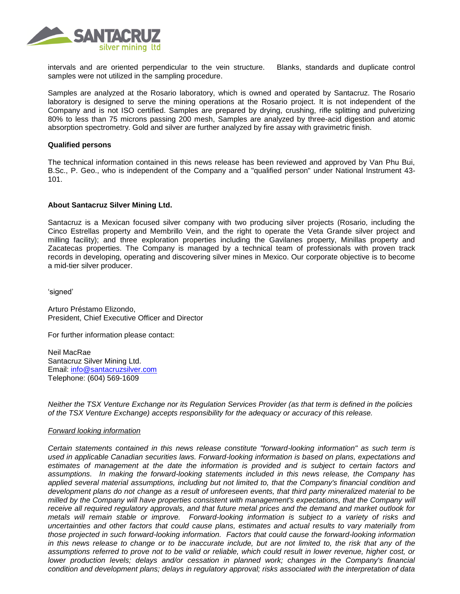

intervals and are oriented perpendicular to the vein structure. Blanks, standards and duplicate control samples were not utilized in the sampling procedure.

Samples are analyzed at the Rosario laboratory, which is owned and operated by Santacruz. The Rosario laboratory is designed to serve the mining operations at the Rosario project. It is not independent of the Company and is not ISO certified. Samples are prepared by drying, crushing, rifle splitting and pulverizing 80% to less than 75 microns passing 200 mesh, Samples are analyzed by three-acid digestion and atomic absorption spectrometry. Gold and silver are further analyzed by fire assay with gravimetric finish.

#### **Qualified persons**

The technical information contained in this news release has been reviewed and approved by Van Phu Bui, B.Sc., P. Geo., who is independent of the Company and a "qualified person" under National Instrument 43- 101.

### **About Santacruz Silver Mining Ltd.**

Santacruz is a Mexican focused silver company with two producing silver projects (Rosario, including the Cinco Estrellas property and Membrillo Vein, and the right to operate the Veta Grande silver project and milling facility); and three exploration properties including the Gavilanes property, Minillas property and Zacatecas properties. The Company is managed by a technical team of professionals with proven track records in developing, operating and discovering silver mines in Mexico. Our corporate objective is to become a mid-tier silver producer.

'signed'

Arturo Préstamo Elizondo, President, Chief Executive Officer and Director

For further information please contact:

Neil MacRae Santacruz Silver Mining Ltd. Email: [info@santacruzsilver.com](mailto:infonmacrae@santacruzsilver.com) Telephone: (604) 569-1609

*Neither the TSX Venture Exchange nor its Regulation Services Provider (as that term is defined in the policies of the TSX Venture Exchange) accepts responsibility for the adequacy or accuracy of this release.* 

#### *Forward looking information*

*Certain statements contained in this news release constitute "forward-looking information" as such term is used in applicable Canadian securities laws. Forward-looking information is based on plans, expectations and estimates of management at the date the information is provided and is subject to certain factors and assumptions. In making the forward-looking statements included in this news release, the Company has applied several material assumptions, including but not limited to, that the Company's financial condition and development plans do not change as a result of unforeseen events, that third party mineralized material to be milled by the Company will have properties consistent with management's expectations, that the Company will receive all required regulatory approvals, and that future metal prices and the demand and market outlook for metals will remain stable or improve. Forward-looking information is subject to a variety of risks and uncertainties and other factors that could cause plans, estimates and actual results to vary materially from those projected in such forward-looking information. Factors that could cause the forward-looking information*  in this news release to change or to be inaccurate include, but are not limited to, the risk that any of the *assumptions referred to prove not to be valid or reliable, which could result in lower revenue, higher cost, or lower production levels; delays and/or cessation in planned work; changes in the Company's financial condition and development plans; delays in regulatory approval; risks associated with the interpretation of data*